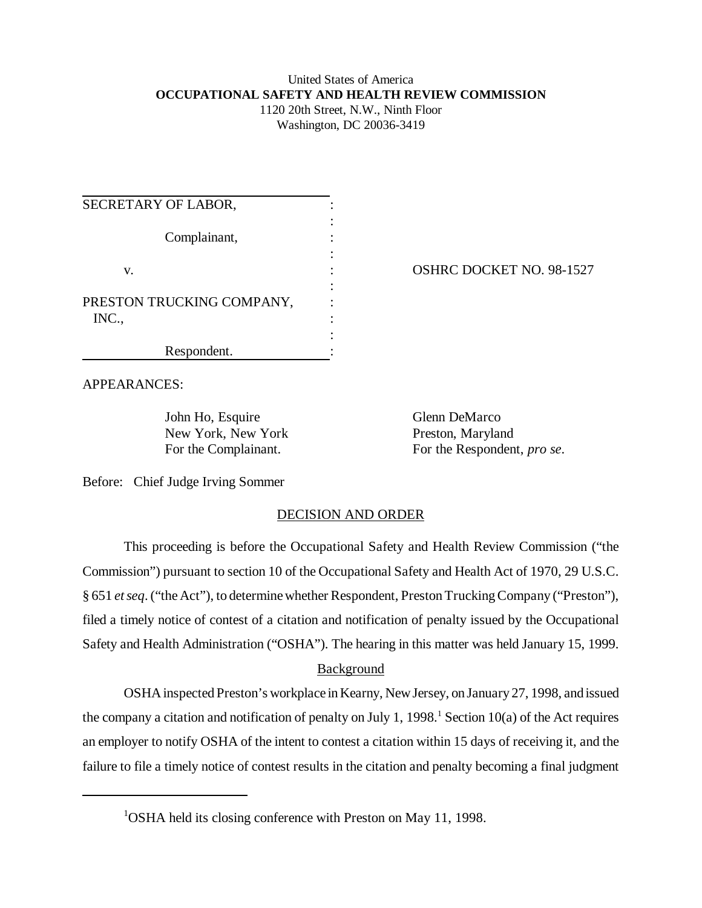## United States of America **OCCUPATIONAL SAFETY AND HEALTH REVIEW COMMISSION** 1120 20th Street, N.W., Ninth Floor

Washington, DC 20036-3419

| SECRETARY OF LABOR,                |  |
|------------------------------------|--|
| Complainant,                       |  |
| V.                                 |  |
| PRESTON TRUCKING COMPANY,<br>INC., |  |
| Respondent.                        |  |

OSHRC DOCKET NO. 98-1527

APPEARANCES:

John Ho, Esquire Glenn DeMarco New York, New York Preston, Maryland

For the Complainant. For the Respondent, *pro se*.

Before: Chief Judge Irving Sommer

## DECISION AND ORDER

This proceeding is before the Occupational Safety and Health Review Commission ("the Commission") pursuant to section 10 of the Occupational Safety and Health Act of 1970, 29 U.S.C. § 651 *et seq*. ("the Act"), to determine whether Respondent, Preston Trucking Company ("Preston"), filed a timely notice of contest of a citation and notification of penalty issued by the Occupational Safety and Health Administration ("OSHA"). The hearing in this matter was held January 15, 1999.

## Background

OSHA inspected Preston's workplace in Kearny, New Jersey, on January 27, 1998, and issued the company a citation and notification of penalty on July 1, 1998.<sup>1</sup> Section 10(a) of the Act requires an employer to notify OSHA of the intent to contest a citation within 15 days of receiving it, and the failure to file a timely notice of contest results in the citation and penalty becoming a final judgment

<sup>&</sup>lt;sup>1</sup>OSHA held its closing conference with Preston on May 11, 1998.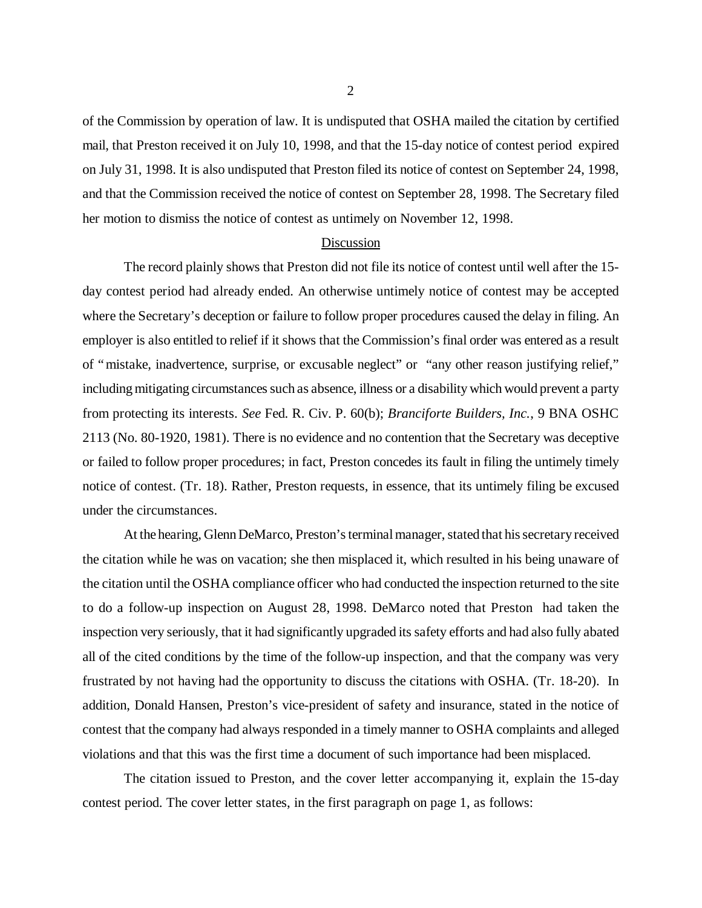of the Commission by operation of law. It is undisputed that OSHA mailed the citation by certified mail, that Preston received it on July 10, 1998, and that the 15-day notice of contest period expired on July 31, 1998. It is also undisputed that Preston filed its notice of contest on September 24, 1998, and that the Commission received the notice of contest on September 28, 1998. The Secretary filed her motion to dismiss the notice of contest as untimely on November 12, 1998.

## Discussion

The record plainly shows that Preston did not file its notice of contest until well after the 15 day contest period had already ended. An otherwise untimely notice of contest may be accepted where the Secretary's deception or failure to follow proper procedures caused the delay in filing. An employer is also entitled to relief if it shows that the Commission's final order was entered as a result of "mistake, inadvertence, surprise, or excusable neglect" or "any other reason justifying relief," including mitigating circumstances such as absence, illness or a disability which would prevent a party from protecting its interests. *See* Fed. R. Civ. P. 60(b); *Branciforte Builders, Inc.*, 9 BNA OSHC 2113 (No. 80-1920, 1981). There is no evidence and no contention that the Secretary was deceptive or failed to follow proper procedures; in fact, Preston concedes its fault in filing the untimely timely notice of contest. (Tr. 18). Rather, Preston requests, in essence, that its untimely filing be excused under the circumstances.

At the hearing, Glenn DeMarco, Preston's terminal manager, stated that his secretary received the citation while he was on vacation; she then misplaced it, which resulted in his being unaware of the citation until the OSHA compliance officer who had conducted the inspection returned to the site to do a follow-up inspection on August 28, 1998. DeMarco noted that Preston had taken the inspection very seriously, that it had significantly upgraded its safety efforts and had also fully abated all of the cited conditions by the time of the follow-up inspection, and that the company was very frustrated by not having had the opportunity to discuss the citations with OSHA. (Tr. 18-20). In addition, Donald Hansen, Preston's vice-president of safety and insurance, stated in the notice of contest that the company had always responded in a timely manner to OSHA complaints and alleged violations and that this was the first time a document of such importance had been misplaced.

The citation issued to Preston, and the cover letter accompanying it, explain the 15-day contest period. The cover letter states, in the first paragraph on page 1, as follows: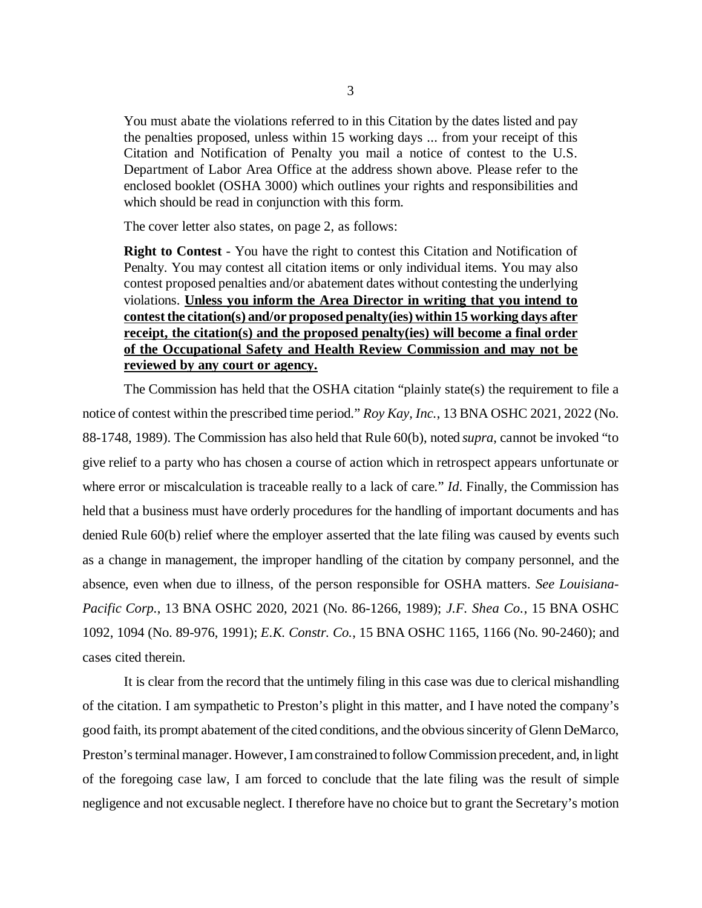You must abate the violations referred to in this Citation by the dates listed and pay the penalties proposed, unless within 15 working days ... from your receipt of this Citation and Notification of Penalty you mail a notice of contest to the U.S. Department of Labor Area Office at the address shown above. Please refer to the enclosed booklet (OSHA 3000) which outlines your rights and responsibilities and which should be read in conjunction with this form.

The cover letter also states, on page 2, as follows:

**Right to Contest** - You have the right to contest this Citation and Notification of Penalty. You may contest all citation items or only individual items. You may also contest proposed penalties and/or abatement dates without contesting the underlying violations. **Unless you inform the Area Director in writing that you intend to contest the citation(s) and/or proposed penalty(ies) within 15 working days after receipt, the citation(s) and the proposed penalty(ies) will become a final order of the Occupational Safety and Health Review Commission and may not be reviewed by any court or agency.**

The Commission has held that the OSHA citation "plainly state(s) the requirement to file a notice of contest within the prescribed time period." *Roy Kay, Inc.*, 13 BNA OSHC 2021, 2022 (No. 88-1748, 1989). The Commission has also held that Rule 60(b), noted *supra*, cannot be invoked "to give relief to a party who has chosen a course of action which in retrospect appears unfortunate or where error or miscalculation is traceable really to a lack of care." *Id*. Finally, the Commission has held that a business must have orderly procedures for the handling of important documents and has denied Rule 60(b) relief where the employer asserted that the late filing was caused by events such as a change in management, the improper handling of the citation by company personnel, and the absence, even when due to illness, of the person responsible for OSHA matters. *See Louisiana-Pacific Corp.*, 13 BNA OSHC 2020, 2021 (No. 86-1266, 1989); *J.F. Shea Co.*, 15 BNA OSHC 1092, 1094 (No. 89-976, 1991); *E.K. Constr. Co.*, 15 BNA OSHC 1165, 1166 (No. 90-2460); and cases cited therein.

It is clear from the record that the untimely filing in this case was due to clerical mishandling of the citation. I am sympathetic to Preston's plight in this matter, and I have noted the company's good faith, its prompt abatement of the cited conditions, and the obvious sincerity of Glenn DeMarco, Preston's terminal manager. However, I am constrained to follow Commission precedent, and, in light of the foregoing case law, I am forced to conclude that the late filing was the result of simple negligence and not excusable neglect. I therefore have no choice but to grant the Secretary's motion